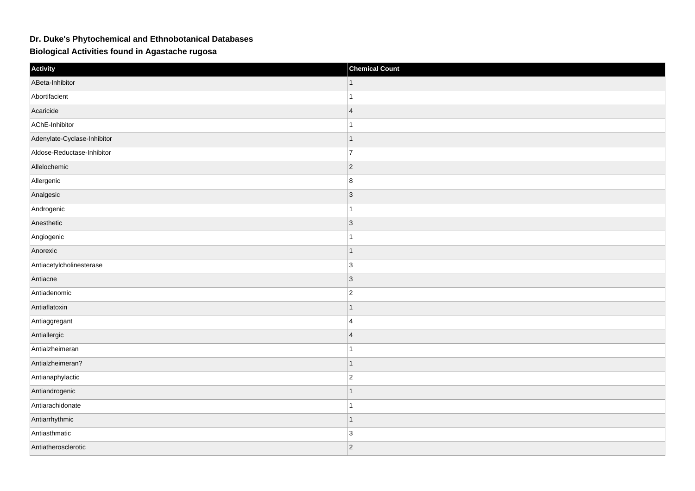## **Dr. Duke's Phytochemical and Ethnobotanical Databases**

**Biological Activities found in Agastache rugosa**

| Activity                    | <b>Chemical Count</b> |
|-----------------------------|-----------------------|
| ABeta-Inhibitor             |                       |
| Abortifacient               |                       |
| Acaricide                   | $\overline{4}$        |
| AChE-Inhibitor              |                       |
| Adenylate-Cyclase-Inhibitor | $\mathbf{1}$          |
| Aldose-Reductase-Inhibitor  | $\overline{7}$        |
| Allelochemic                | $\vert$ 2             |
| Allergenic                  | 8                     |
| Analgesic                   | 3                     |
| Androgenic                  | $\overline{1}$        |
| Anesthetic                  | $\vert 3 \vert$       |
| Angiogenic                  | $\overline{1}$        |
| Anorexic                    | $\mathbf 1$           |
| Antiacetylcholinesterase    | 3                     |
| Antiacne                    | $\vert$ 3             |
| Antiadenomic                | $ 2\rangle$           |
| Antiaflatoxin               | $\mathbf{1}$          |
| Antiaggregant               | $\overline{4}$        |
| Antiallergic                | $\overline{4}$        |
| Antialzheimeran             | 1                     |
| Antialzheimeran?            | $\overline{1}$        |
| Antianaphylactic            | $\overline{2}$        |
| Antiandrogenic              | $\mathbf 1$           |
| Antiarachidonate            |                       |
| Antiarrhythmic              | $\mathbf{1}$          |
| Antiasthmatic               | 3                     |
| Antiatherosclerotic         | $\vert$ 2             |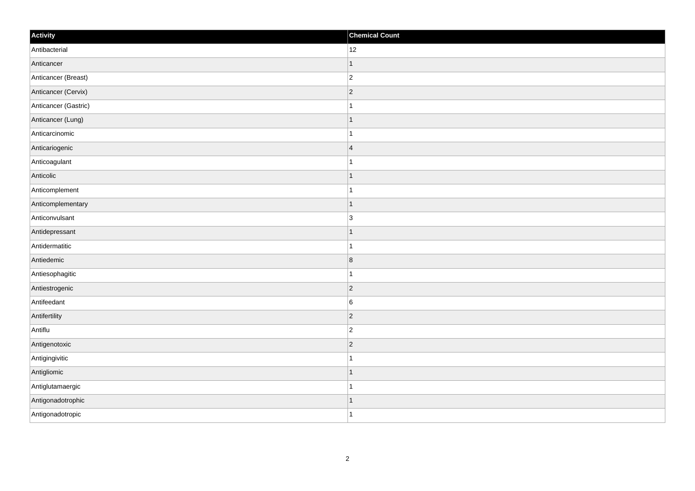| Activity             | <b>Chemical Count</b> |
|----------------------|-----------------------|
| Antibacterial        | 12                    |
| Anticancer           | $\mathbf{1}$          |
| Anticancer (Breast)  | $\vert$ 2             |
| Anticancer (Cervix)  | $ 2\rangle$           |
| Anticancer (Gastric) | $\mathbf{1}$          |
| Anticancer (Lung)    | $\vert$ 1             |
| Anticarcinomic       | $\mathbf{1}$          |
| Anticariogenic       | 4                     |
| Anticoagulant        | $\mathbf{1}$          |
| Anticolic            | $\vert$ 1             |
| Anticomplement       | $\vert$ 1             |
| Anticomplementary    | $\vert$ 1             |
| Anticonvulsant       | 3                     |
| Antidepressant       | $\mathbf{1}$          |
| Antidermatitic       | $\mathbf{1}$          |
| Antiedemic           | $\vert 8 \vert$       |
| Antiesophagitic      | $\vert$ 1             |
| Antiestrogenic       | $ 2\rangle$           |
| Antifeedant          | $\overline{6}$        |
| Antifertility        | $\overline{2}$        |
| Antiflu              | $\vert$ 2             |
| Antigenotoxic        | $ 2\rangle$           |
| Antigingivitic       | $\mathbf{1}$          |
| Antigliomic          | $\vert$ 1             |
| Antiglutamaergic     | $\mathbf{1}$          |
| Antigonadotrophic    | $\mathbf{1}$          |
| Antigonadotropic     | $\vert$ 1             |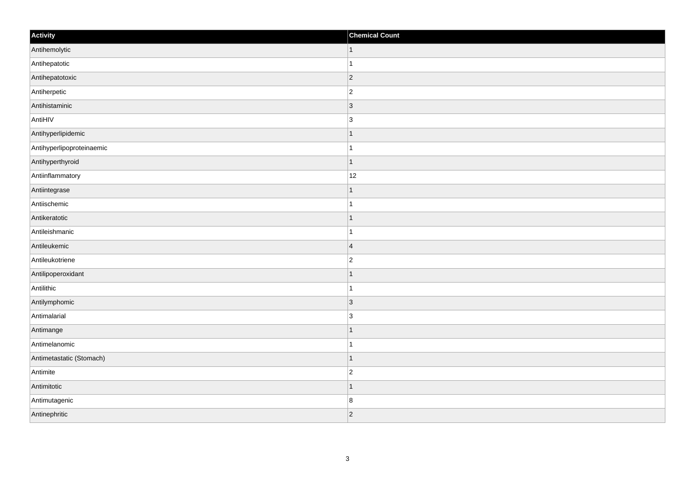| Activity                  | <b>Chemical Count</b> |
|---------------------------|-----------------------|
| Antihemolytic             | $\vert$ 1             |
| Antihepatotic             | $\mathbf{1}$          |
| Antihepatotoxic           | $ 2\rangle$           |
| Antiherpetic              | $\overline{c}$        |
| Antihistaminic            | $\overline{3}$        |
| AntiHIV                   | 3                     |
| Antihyperlipidemic        | $\vert$ 1             |
| Antihyperlipoproteinaemic | $\overline{1}$        |
| Antihyperthyroid          | $\mathbf{1}$          |
| Antiinflammatory          | 12                    |
| Antiintegrase             |                       |
| Antiischemic              |                       |
| Antikeratotic             | $\vert$ 1             |
| Antileishmanic            | $\mathbf{1}$          |
| Antileukemic              | $\overline{4}$        |
| Antileukotriene           | $\overline{2}$        |
| Antilipoperoxidant        | 1                     |
| Antilithic                | $\overline{1}$        |
| Antilymphomic             | 3                     |
| Antimalarial              | $\overline{3}$        |
| Antimange                 | $\mathbf 1$           |
| Antimelanomic             | $\mathbf{1}$          |
| Antimetastatic (Stomach)  | $\vert$ 1             |
| Antimite                  | $\overline{c}$        |
| Antimitotic               | $\mathbf 1$           |
| Antimutagenic             | 8                     |
| Antinephritic             | $ 2\rangle$           |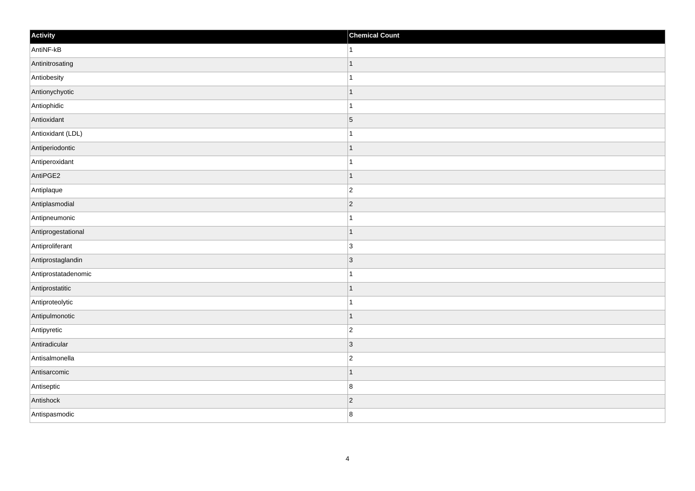| Activity            | <b>Chemical Count</b> |
|---------------------|-----------------------|
| AntiNF-kB           | $\vert$ 1             |
| Antinitrosating     | $\overline{1}$        |
| Antiobesity         |                       |
| Antionychyotic      | $\overline{1}$        |
| Antiophidic         | $\mathbf{1}$          |
| Antioxidant         | $\vert 5 \vert$       |
| Antioxidant (LDL)   | 1                     |
| Antiperiodontic     | $\mathbf 1$           |
| Antiperoxidant      |                       |
| AntiPGE2            | $\vert$ 1             |
| Antiplaque          | $\overline{c}$        |
| Antiplasmodial      | $ 2\rangle$           |
| Antipneumonic       | $\mathbf{1}$          |
| Antiprogestational  | $\mathbf 1$           |
| Antiproliferant     | 3                     |
| Antiprostaglandin   | $ 3\rangle$           |
| Antiprostatadenomic | $\mathbf 1$           |
| Antiprostatitic     | $\vert$ 1             |
| Antiproteolytic     | $\mathbf{1}$          |
| Antipulmonotic      | $\vert$ 1             |
| Antipyretic         | $\overline{c}$        |
| Antiradicular       | 3                     |
| Antisalmonella      | $\overline{c}$        |
| Antisarcomic        | $\mathbf 1$           |
| Antiseptic          | 8                     |
| Antishock           | $ 2\rangle$           |
| Antispasmodic       | $\boldsymbol{8}$      |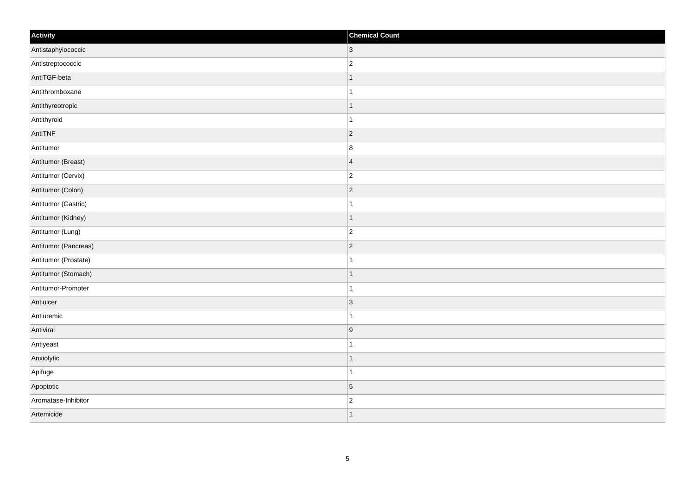| Activity             | <b>Chemical Count</b> |
|----------------------|-----------------------|
| Antistaphylococcic   | $ 3\rangle$           |
| Antistreptococcic    | $\overline{c}$        |
| AntiTGF-beta         | $\mathbf 1$           |
| Antithromboxane      | $\mathbf{1}$          |
| Antithyreotropic     | $\mathbf 1$           |
| Antithyroid          |                       |
| AntiTNF              | $ 2\rangle$           |
| Antitumor            | $\boldsymbol{8}$      |
| Antitumor (Breast)   | $\overline{4}$        |
| Antitumor (Cervix)   | $\overline{c}$        |
| Antitumor (Colon)    | $\overline{2}$        |
| Antitumor (Gastric)  |                       |
| Antitumor (Kidney)   | $\vert$ 1             |
| Antitumor (Lung)     | $\overline{c}$        |
| Antitumor (Pancreas) | $ 2\rangle$           |
| Antitumor (Prostate) | $\mathbf{1}$          |
| Antitumor (Stomach)  | $\mathbf{1}$          |
| Antitumor-Promoter   | $\mathbf{1}$          |
| Antiulcer            | 3                     |
| Antiuremic           | 1                     |
| Antiviral            | 9                     |
| Antiyeast            | 1                     |
| Anxiolytic           | $\vert$ 1             |
| Apifuge              | $\mathbf 1$           |
| Apoptotic            | $\vert 5 \vert$       |
| Aromatase-Inhibitor  | $\overline{c}$        |
| Artemicide           | $\overline{1}$        |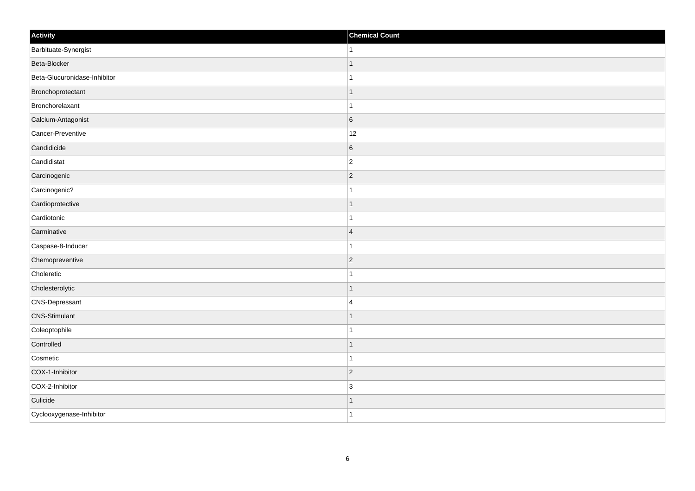| Activity                     | <b>Chemical Count</b> |
|------------------------------|-----------------------|
| Barbituate-Synergist         | 1                     |
| Beta-Blocker                 |                       |
| Beta-Glucuronidase-Inhibitor |                       |
| Bronchoprotectant            | $\mathbf{1}$          |
| Bronchorelaxant              | $\overline{1}$        |
| Calcium-Antagonist           | $6\overline{6}$       |
| Cancer-Preventive            | 12                    |
| Candidicide                  | 6                     |
| Candidistat                  | $\overline{2}$        |
| Carcinogenic                 | $\overline{2}$        |
| Carcinogenic?                | $\overline{1}$        |
| Cardioprotective             |                       |
| Cardiotonic                  |                       |
| Carminative                  | $\overline{4}$        |
| Caspase-8-Inducer            |                       |
| Chemopreventive              | $\vert$ 2             |
| Choleretic                   |                       |
| Cholesterolytic              | $\mathbf{1}$          |
| CNS-Depressant               | $\overline{4}$        |
| <b>CNS-Stimulant</b>         | $\mathbf 1$           |
| Coleoptophile                |                       |
| Controlled                   | $\mathbf{1}$          |
| Cosmetic                     | $\mathbf{1}$          |
| COX-1-Inhibitor              | $ 2\rangle$           |
| COX-2-Inhibitor              | 3                     |
| Culicide                     | $\mathbf{1}$          |
| Cyclooxygenase-Inhibitor     | $\overline{1}$        |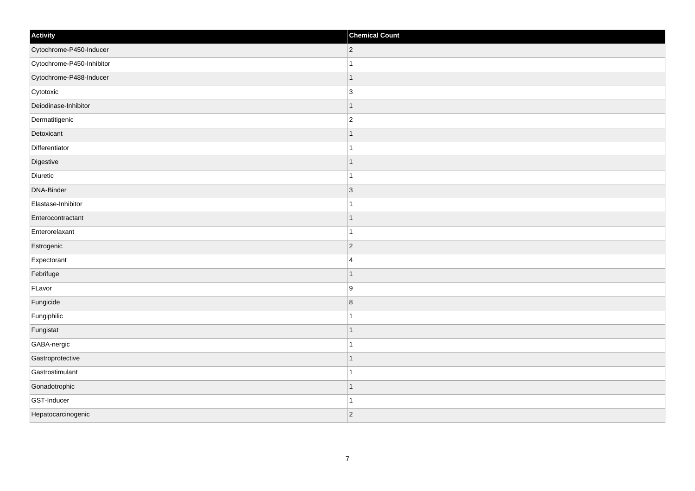| Activity                  | <b>Chemical Count</b>   |
|---------------------------|-------------------------|
| Cytochrome-P450-Inducer   | $ 2\rangle$             |
| Cytochrome-P450-Inhibitor |                         |
| Cytochrome-P488-Inducer   | $\mathbf{1}$            |
| Cytotoxic                 | 3                       |
| Deiodinase-Inhibitor      | $\overline{1}$          |
| Dermatitigenic            | $\overline{2}$          |
| Detoxicant                | $\mathbf{1}$            |
| Differentiator            | $\overline{1}$          |
| Digestive                 | $\mathbf 1$             |
| Diuretic                  | 1                       |
| DNA-Binder                | 3                       |
| Elastase-Inhibitor        |                         |
| Enterocontractant         | $\mathbf{1}$            |
| Enterorelaxant            | $\overline{1}$          |
| Estrogenic                | $\overline{2}$          |
| Expectorant               | $\overline{4}$          |
| Febrifuge                 | $\overline{1}$          |
| FLavor                    | 9                       |
| Fungicide                 | $\overline{\mathbf{8}}$ |
| Fungiphilic               |                         |
| Fungistat                 | $\overline{1}$          |
| GABA-nergic               |                         |
| Gastroprotective          | $\mathbf{1}$            |
| Gastrostimulant           |                         |
| Gonadotrophic             | $\mathbf{1}$            |
| GST-Inducer               | 1                       |
| Hepatocarcinogenic        | $\overline{2}$          |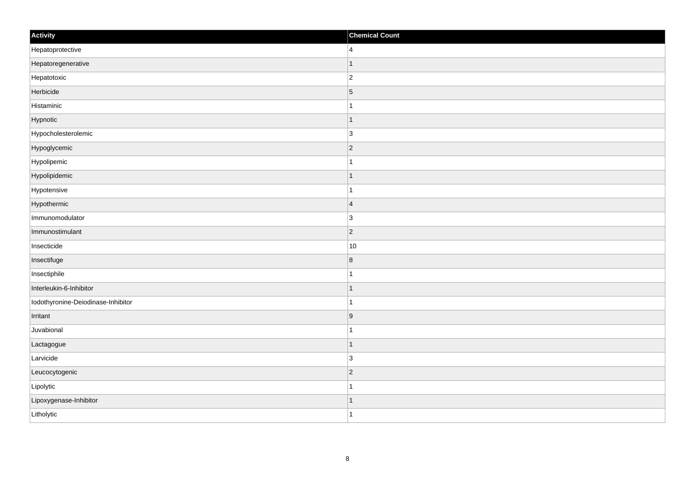| Activity                           | <b>Chemical Count</b> |
|------------------------------------|-----------------------|
| Hepatoprotective                   | $\overline{4}$        |
| Hepatoregenerative                 | $\overline{1}$        |
| Hepatotoxic                        | $\overline{c}$        |
| Herbicide                          | $\overline{5}$        |
| Histaminic                         | $\mathbf{1}$          |
| Hypnotic                           | $\mathbf 1$           |
| Hypocholesterolemic                | $\overline{3}$        |
| Hypoglycemic                       | $\overline{2}$        |
| Hypolipemic                        |                       |
| Hypolipidemic                      | $\mathbf{1}$          |
| Hypotensive                        | $\mathbf 1$           |
| Hypothermic                        | $\overline{4}$        |
| Immunomodulator                    | $\overline{3}$        |
| Immunostimulant                    | $ 2\rangle$           |
| Insecticide                        | 10                    |
| Insectifuge                        | $\bf 8$               |
| Insectiphile                       | 1                     |
| Interleukin-6-Inhibitor            | $\mathbf 1$           |
| Iodothyronine-Deiodinase-Inhibitor | 1                     |
| Irritant                           | 9                     |
| Juvabional                         | $\overline{1}$        |
| Lactagogue                         | $\vert$ 1             |
| Larvicide                          | 3                     |
| Leucocytogenic                     | $ 2\rangle$           |
| Lipolytic                          | $\mathbf{1}$          |
| Lipoxygenase-Inhibitor             | 1                     |
| Litholytic                         | $\overline{1}$        |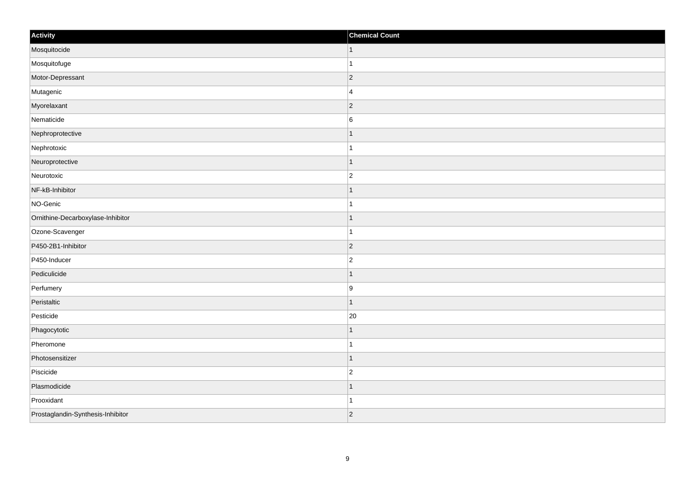| Activity                          | <b>Chemical Count</b> |
|-----------------------------------|-----------------------|
| Mosquitocide                      | $\vert$ 1             |
| Mosquitofuge                      | $\overline{1}$        |
| Motor-Depressant                  | $ 2\rangle$           |
| Mutagenic                         | $\overline{4}$        |
| Myorelaxant                       | $\overline{2}$        |
| Nematicide                        | $6\phantom{.}6$       |
| Nephroprotective                  | $\mathbf 1$           |
| Nephrotoxic                       | $\mathbf{1}$          |
| Neuroprotective                   | $\mathbf 1$           |
| Neurotoxic                        | $\overline{2}$        |
| NF-kB-Inhibitor                   |                       |
| NO-Genic                          |                       |
| Ornithine-Decarboxylase-Inhibitor | $\vert$ 1             |
| Ozone-Scavenger                   | $\mathbf{1}$          |
| P450-2B1-Inhibitor                | $ 2\rangle$           |
| P450-Inducer                      | $\overline{2}$        |
| Pediculicide                      |                       |
| Perfumery                         | 9                     |
| Peristaltic                       | $\mathbf 1$           |
| Pesticide                         | 20                    |
| Phagocytotic                      |                       |
| Pheromone                         | $\mathbf{1}$          |
| Photosensitizer                   | $\mathbf 1$           |
| Piscicide                         | $\overline{2}$        |
| Plasmodicide                      | $\mathbf{1}$          |
| Prooxidant                        | $\mathbf{1}$          |
| Prostaglandin-Synthesis-Inhibitor | $ 2\rangle$           |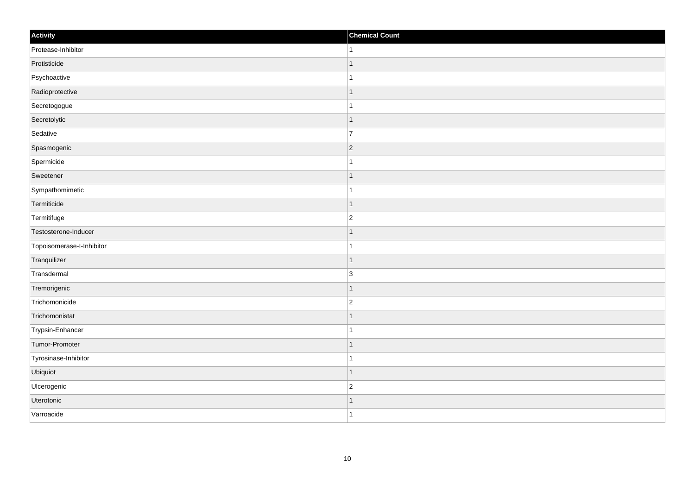| Activity                  | <b>Chemical Count</b> |
|---------------------------|-----------------------|
| Protease-Inhibitor        | $\vert$ 1             |
| Protisticide              | $\mathbf{1}$          |
| Psychoactive              | $\mathbf{1}$          |
| Radioprotective           | $\vert$ 1             |
| Secretogogue              | $\mathbf{1}$          |
| Secretolytic              | $\mathbf{1}$          |
| Sedative                  | $\overline{7}$        |
| Spasmogenic               | $ 2\rangle$           |
| Spermicide                | $\overline{1}$        |
| Sweetener                 | $\vert$ 1             |
| Sympathomimetic           | $\mathbf{1}$          |
| Termiticide               | $\mathbf{1}$          |
| Termitifuge               | $\vert$ 2             |
| Testosterone-Inducer      | $\mathbf{1}$          |
| Topoisomerase-I-Inhibitor | $\mathbf{1}$          |
| Tranquilizer              | $\vert$ 1             |
| Transdermal               | 3                     |
| Tremorigenic              | $\vert$ 1             |
| Trichomonicide            | $\vert$ 2             |
| Trichomonistat            | $\mathbf{1}$          |
| Trypsin-Enhancer          | $\mathbf{1}$          |
| Tumor-Promoter            | $\vert$ 1             |
| Tyrosinase-Inhibitor      | $\mathbf{1}$          |
| Ubiquiot                  | $\vert$ 1             |
| Ulcerogenic               | $ 2\rangle$           |
| Uterotonic                | $\mathbf{1}$          |
| Varroacide                | $\vert$ 1             |